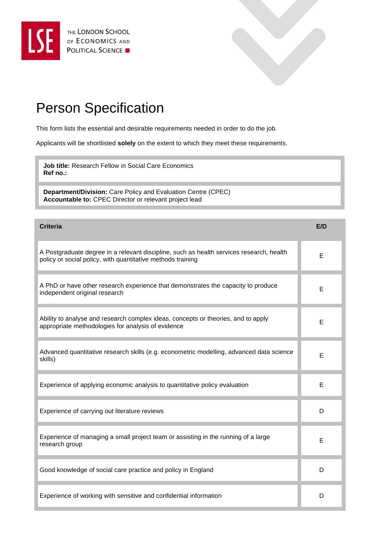



## Person Specification

This form lists the essential and desirable requirements needed in order to do the job.

Applicants will be shortlisted **solely** on the extent to which they meet these requirements.

**Job title:** Research Fellow in Social Care Economics **Ref no.:** 

**Department/Division:** Care Policy and Evaluation Centre (CPEC) **Accountable to:** CPEC Director or relevant project lead

| <b>Criteria</b>                                                                                                                                         | E/D |
|---------------------------------------------------------------------------------------------------------------------------------------------------------|-----|
| A Postgraduate degree in a relevant discipline, such as health services research, health<br>policy or social policy, with quantitative methods training | E   |
| A PhD or have other research experience that demonstrates the capacity to produce<br>independent original research                                      | Е   |
| Ability to analyse and research complex ideas, concepts or theories, and to apply<br>appropriate methodologies for analysis of evidence                 | Е   |
| Advanced quantitative research skills (e.g. econometric modelling, advanced data science<br>skills)                                                     | E   |
| Experience of applying economic analysis to quantitative policy evaluation                                                                              | E   |
| Experience of carrying out literature reviews                                                                                                           | D   |
| Experience of managing a small project team or assisting in the running of a large<br>research group                                                    | Е   |
| Good knowledge of social care practice and policy in England                                                                                            | D   |
| Experience of working with sensitive and confidential information                                                                                       | D   |